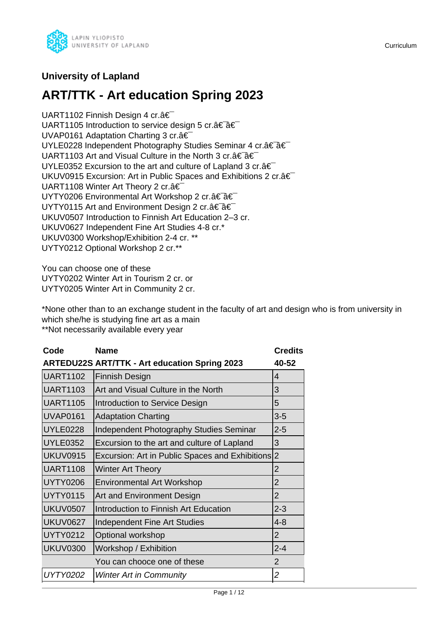

# **University of Lapland**

# **ART/TTK - Art education Spring 2023**

UART1102 Finnish Design 4 cr.â€ UART1105 Introduction to service design 5 cr.†a€ UVAP0161 Adaptation Charting 3 cr. â€ UYLE0228 Independent Photography Studies Seminar 4 cr.†a€ UART1103 Art and Visual Culture in the North 3 cr. a € a € UYLE0352 Excursion to the art and culture of Lapland 3 cr. $\hat{a} \in \hat{a}$ UKUV0915 Excursion: Art in Public Spaces and Exhibitions 2 cr.â€ UART1108 Winter Art Theory 2 cr.â€ UYTY0206 Environmental Art Workshop 2 cr. †â€ UYTY0115 Art and Environment Design 2 cr. a€ a€ UKUV0507 Introduction to Finnish Art Education 2–3 cr. UKUV0627 Independent Fine Art Studies 4-8 cr.\* UKUV0300 Workshop/Exhibition 2-4 cr. \*\* UYTY0212 Optional Workshop 2 cr.\*\*

You can choose one of these UYTY0202 Winter Art in Tourism 2 cr. or UYTY0205 Winter Art in Community 2 cr.

\*None other than to an exchange student in the faculty of art and design who is from university in which she/he is studying fine art as a main \*\*Not necessarily available every year

| <b>Name</b>                                          | <b>Credits</b>                                  |
|------------------------------------------------------|-------------------------------------------------|
| <b>ARTEDU22S ART/TTK - Art education Spring 2023</b> | 40-52                                           |
| <b>Finnish Design</b>                                | 4                                               |
| Art and Visual Culture in the North                  | 3                                               |
| Introduction to Service Design                       | 5                                               |
| <b>Adaptation Charting</b>                           | $3-5$                                           |
| Independent Photography Studies Seminar              | $2 - 5$                                         |
| Excursion to the art and culture of Lapland          | 3                                               |
|                                                      | $\overline{2}$                                  |
| <b>Winter Art Theory</b>                             | $\overline{2}$                                  |
| <b>Environmental Art Workshop</b>                    | $\overline{2}$                                  |
| <b>Art and Environment Design</b>                    | $\overline{2}$                                  |
| Introduction to Finnish Art Education                | $2 - 3$                                         |
| <b>Independent Fine Art Studies</b>                  | $4 - 8$                                         |
| Optional workshop                                    | $\overline{2}$                                  |
| Workshop / Exhibition                                | $2 - 4$                                         |
| You can chooce one of these                          | $\overline{2}$                                  |
| <b>Winter Art in Community</b>                       | $\overline{2}$                                  |
|                                                      | Excursion: Art in Public Spaces and Exhibitions |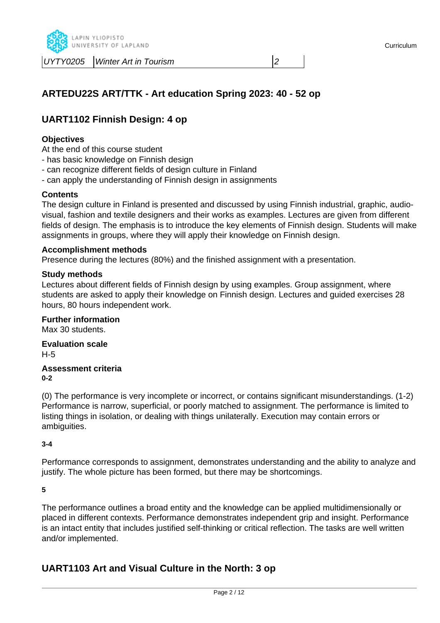

# **ARTEDU22S ART/TTK - Art education Spring 2023: 40 - 52 op**

# **UART1102 Finnish Design: 4 op**

# **Objectives**

At the end of this course student

- has basic knowledge on Finnish design
- can recognize different fields of design culture in Finland
- can apply the understanding of Finnish design in assignments

#### **Contents**

The design culture in Finland is presented and discussed by using Finnish industrial, graphic, audiovisual, fashion and textile designers and their works as examples. Lectures are given from different fields of design. The emphasis is to introduce the key elements of Finnish design. Students will make assignments in groups, where they will apply their knowledge on Finnish design.

#### **Accomplishment methods**

Presence during the lectures (80%) and the finished assignment with a presentation.

#### **Study methods**

Lectures about different fields of Finnish design by using examples. Group assignment, where students are asked to apply their knowledge on Finnish design. Lectures and guided exercises 28 hours, 80 hours independent work.

#### **Further information**

Max 30 students.

**Evaluation scale** H-5

#### **Assessment criteria 0-2**

(0) The performance is very incomplete or incorrect, or contains significant misunderstandings. (1-2) Performance is narrow, superficial, or poorly matched to assignment. The performance is limited to listing things in isolation, or dealing with things unilaterally. Execution may contain errors or ambiguities.

**3-4**

Performance corresponds to assignment, demonstrates understanding and the ability to analyze and justify. The whole picture has been formed, but there may be shortcomings.

#### **5**

The performance outlines a broad entity and the knowledge can be applied multidimensionally or placed in different contexts. Performance demonstrates independent grip and insight. Performance is an intact entity that includes justified self-thinking or critical reflection. The tasks are well written and/or implemented.

# **UART1103 Art and Visual Culture in the North: 3 op**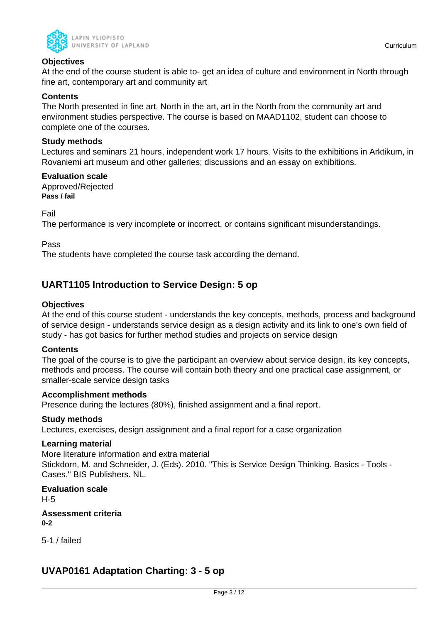

# **Objectives**

At the end of the course student is able to- get an idea of culture and environment in North through fine art, contemporary art and community art

# **Contents**

The North presented in fine art, North in the art, art in the North from the community art and environment studies perspective. The course is based on MAAD1102, student can choose to complete one of the courses.

# **Study methods**

Lectures and seminars 21 hours, independent work 17 hours. Visits to the exhibitions in Arktikum, in Rovaniemi art museum and other galleries; discussions and an essay on exhibitions.

**Evaluation scale** Approved/Rejected **Pass / fail**

Fail

The performance is very incomplete or incorrect, or contains significant misunderstandings.

Pass

The students have completed the course task according the demand.

# **UART1105 Introduction to Service Design: 5 op**

# **Objectives**

At the end of this course student - understands the key concepts, methods, process and background of service design - understands service design as a design activity and its link to one's own field of study - has got basics for further method studies and projects on service design

#### **Contents**

The goal of the course is to give the participant an overview about service design, its key concepts, methods and process. The course will contain both theory and one practical case assignment, or smaller-scale service design tasks

#### **Accomplishment methods**

Presence during the lectures (80%), finished assignment and a final report.

#### **Study methods**

Lectures, exercises, design assignment and a final report for a case organization

#### **Learning material**

More literature information and extra material Stickdorn, M. and Schneider, J. (Eds). 2010. "This is Service Design Thinking. Basics - Tools - Cases." BIS Publishers. NL.

**Evaluation scale** H-5

**Assessment criteria 0-2**

5-1 / failed

# **UVAP0161 Adaptation Charting: 3 - 5 op**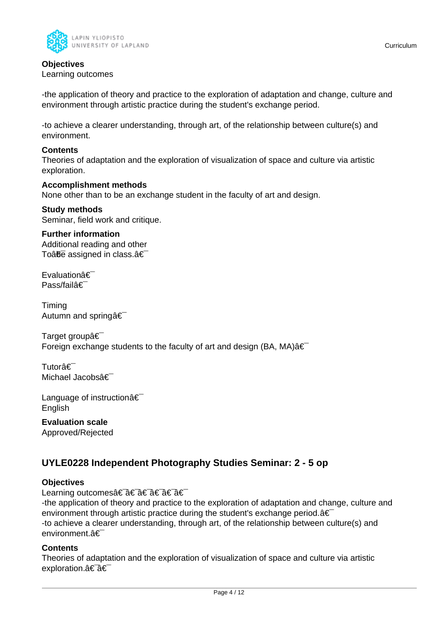

# **Objectives**

Learning outcomes

-the application of theory and practice to the exploration of adaptation and change, culture and environment through artistic practice during the student's exchange period.

-to achieve a clearer understanding, through art, of the relationship between culture(s) and environment.

### **Contents**

Theories of adaptation and the exploration of visualization of space and culture via artistic exploration.

### **Accomplishment methods**

None other than to be an exchange student in the faculty of art and design.

#### **Study methods** Seminar, field work and critique.

**Further information** Additional reading and other To $\hat{a}$  $\hat{b}$  assigned in class. $\hat{a} \in$ 

Evaluationâ€ Pass/failâ€

Timing Autumn and springa<sup>€</sup>

Target groupâ€ Foreign exchange students to the faculty of art and design (BA, MA) $\hat{a} \in$ 

Tutorâ€⊤ Michael Jacobsâ€

Language of instructionâ€ **English** 

**Evaluation scale** Approved/Rejected

# **UYLE0228 Independent Photography Studies Seminar: 2 - 5 op**

# **Objectives**

Learning outcomes†a€ a€ a€ a€ a€

-the application of theory and practice to the exploration of adaptation and change, culture and environment through artistic practice during the student's exchange period.  $\hat{a} \in \hat{a}$ -to achieve a clearer understanding, through art, of the relationship between culture(s) and environment.â€

#### **Contents**

Theories of adaptation and the exploration of visualization of space and culture via artistic exploration.†â€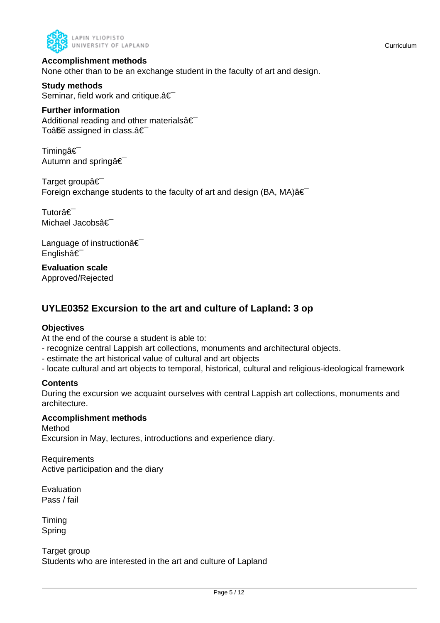

### **Accomplishment methods**

None other than to be an exchange student in the faculty of art and design.

**Study methods** Seminar, field work and critique. $\hat{a} \in \hat{a}$ 

#### **Further information**

Additional reading and other materials  $\hat{\epsilon}$ To $\hat{a}$ <del>fie</del> assigned in class. $\hat{a} \in \hat{a}$ 

Timingâ€<sup>-</sup> Autumn and springâ€

Target groupâ€ Foreign exchange students to the faculty of art and design (BA, MA) $\hat{a} \in$ 

Tutorâ€<sup>-</sup> Michael Jacobsâ€

Language of instruction  $\hat{\mathbf{a}} \in \mathbb{R}$ Englishâ€

**Evaluation scale** Approved/Rejected

# **UYLE0352 Excursion to the art and culture of Lapland: 3 op**

# **Objectives**

At the end of the course a student is able to:

- recognize central Lappish art collections, monuments and architectural objects.
- estimate the art historical value of cultural and art objects
- locate cultural and art objects to temporal, historical, cultural and religious-ideological framework

# **Contents**

During the excursion we acquaint ourselves with central Lappish art collections, monuments and architecture.

#### **Accomplishment methods**

Method Excursion in May, lectures, introductions and experience diary.

Requirements Active participation and the diary

Evaluation Pass / fail

Timing Spring

Target group Students who are interested in the art and culture of Lapland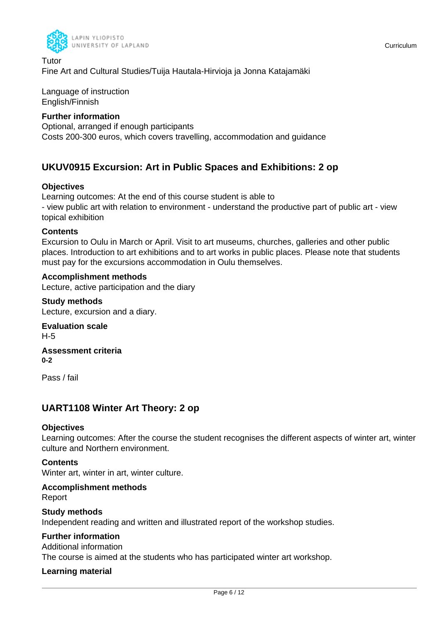

Tutor Fine Art and Cultural Studies/Tuija Hautala-Hirvioja ja Jonna Katajamäki

Language of instruction English/Finnish

# **Further information**

Optional, arranged if enough participants Costs 200-300 euros, which covers travelling, accommodation and guidance

# **UKUV0915 Excursion: Art in Public Spaces and Exhibitions: 2 op**

# **Objectives**

Learning outcomes: At the end of this course student is able to - view public art with relation to environment - understand the productive part of public art - view topical exhibition

# **Contents**

Excursion to Oulu in March or April. Visit to art museums, churches, galleries and other public places. Introduction to art exhibitions and to art works in public places. Please note that students must pay for the excursions accommodation in Oulu themselves.

# **Accomplishment methods**

Lecture, active participation and the diary

**Study methods** Lecture, excursion and a diary.

**Evaluation scale** H-5

**Assessment criteria 0-2**

Pass / fail

# **UART1108 Winter Art Theory: 2 op**

# **Objectives**

Learning outcomes: After the course the student recognises the different aspects of winter art, winter culture and Northern environment.

# **Contents**

Winter art, winter in art, winter culture.

#### **Accomplishment methods** Report

**Study methods** Independent reading and written and illustrated report of the workshop studies.

# **Further information**

Additional information

The course is aimed at the students who has participated winter art workshop.

# **Learning material**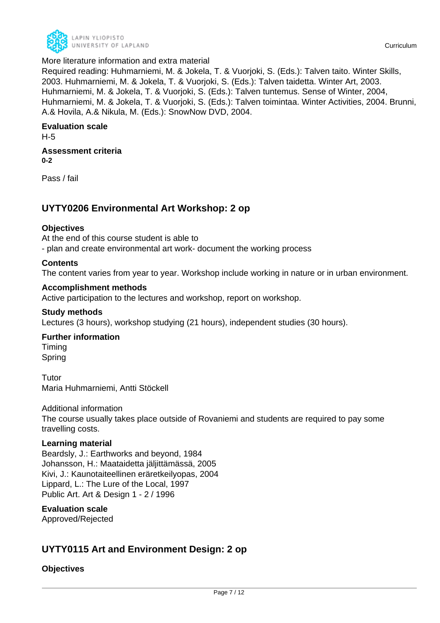

Required reading: Huhmarniemi, M. & Jokela, T. & Vuorjoki, S. (Eds.): Talven taito. Winter Skills, 2003. Huhmarniemi, M. & Jokela, T. & Vuorjoki, S. (Eds.): Talven taidetta. Winter Art, 2003. Huhmarniemi, M. & Jokela, T. & Vuorjoki, S. (Eds.): Talven tuntemus. Sense of Winter, 2004, Huhmarniemi, M. & Jokela, T. & Vuorjoki, S. (Eds.): Talven toimintaa. Winter Activities, 2004. Brunni, A.& Hovila, A.& Nikula, M. (Eds.): SnowNow DVD, 2004.

### **Evaluation scale**

H-5

#### **Assessment criteria 0-2**

Pass / fail

# **UYTY0206 Environmental Art Workshop: 2 op**

# **Objectives**

At the end of this course student is able to

- plan and create environmental art work- document the working process

# **Contents**

The content varies from year to year. Workshop include working in nature or in urban environment.

### **Accomplishment methods**

Active participation to the lectures and workshop, report on workshop.

# **Study methods**

Lectures (3 hours), workshop studying (21 hours), independent studies (30 hours).

# **Further information**

Timing Spring

Tutor Maria Huhmarniemi, Antti Stöckell

Additional information The course usually takes place outside of Rovaniemi and students are required to pay some travelling costs.

#### **Learning material**

Beardsly, J.: Earthworks and beyond, 1984 Johansson, H.: Maataidetta jäljittämässä, 2005 Kivi, J.: Kaunotaiteellinen eräretkeilyopas, 2004 Lippard, L.: The Lure of the Local, 1997 Public Art. Art & Design 1 - 2 / 1996

# **Evaluation scale**

Approved/Rejected

# **UYTY0115 Art and Environment Design: 2 op**

**Objectives**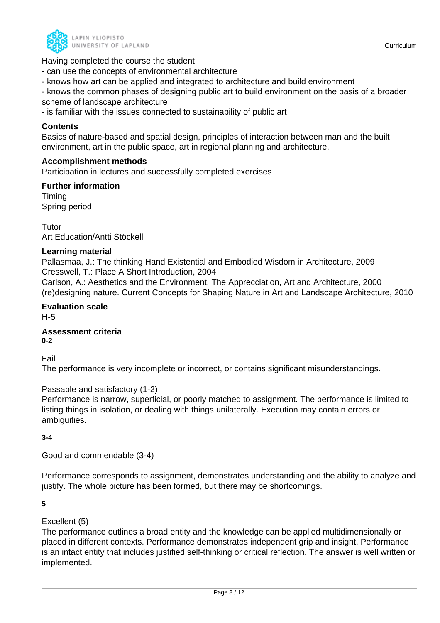

Having completed the course the student

- can use the concepts of environmental architecture
- knows how art can be applied and integrated to architecture and build environment

- knows the common phases of designing public art to build environment on the basis of a broader scheme of landscape architecture

- is familiar with the issues connected to sustainability of public art

#### **Contents**

Basics of nature-based and spatial design, principles of interaction between man and the built environment, art in the public space, art in regional planning and architecture.

### **Accomplishment methods**

Participation in lectures and successfully completed exercises

#### **Further information** Timing

Spring period

Tutor Art Education/Antti Stöckell

### **Learning material**

Pallasmaa, J.: The thinking Hand Existential and Embodied Wisdom in Architecture, 2009 Cresswell, T.: Place A Short Introduction, 2004

Carlson, A.: Aesthetics and the Environment. The Apprecciation, Art and Architecture, 2000 (re)designing nature. Current Concepts for Shaping Nature in Art and Landscape Architecture, 2010

# **Evaluation scale**

H-5

**Assessment criteria 0-2**

Fail

The performance is very incomplete or incorrect, or contains significant misunderstandings.

# Passable and satisfactory (1-2)

Performance is narrow, superficial, or poorly matched to assignment. The performance is limited to listing things in isolation, or dealing with things unilaterally. Execution may contain errors or ambiguities.

#### **3-4**

Good and commendable (3-4)

Performance corresponds to assignment, demonstrates understanding and the ability to analyze and justify. The whole picture has been formed, but there may be shortcomings.

#### **5**

# Excellent (5)

The performance outlines a broad entity and the knowledge can be applied multidimensionally or placed in different contexts. Performance demonstrates independent grip and insight. Performance is an intact entity that includes justified self-thinking or critical reflection. The answer is well written or implemented.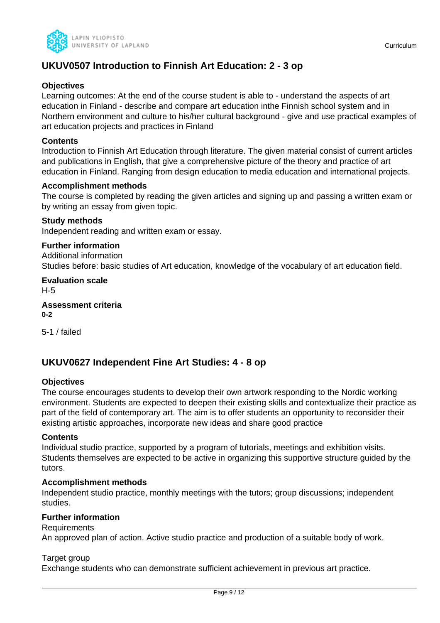

# **UKUV0507 Introduction to Finnish Art Education: 2 - 3 op**

# **Objectives**

Learning outcomes: At the end of the course student is able to - understand the aspects of art education in Finland - describe and compare art education inthe Finnish school system and in Northern environment and culture to his/her cultural background - give and use practical examples of art education projects and practices in Finland

### **Contents**

Introduction to Finnish Art Education through literature. The given material consist of current articles and publications in English, that give a comprehensive picture of the theory and practice of art education in Finland. Ranging from design education to media education and international projects.

### **Accomplishment methods**

The course is completed by reading the given articles and signing up and passing a written exam or by writing an essay from given topic.

### **Study methods**

Independent reading and written exam or essay.

# **Further information**

Additional information Studies before: basic studies of Art education, knowledge of the vocabulary of art education field.

**Evaluation scale** H-5

**Assessment criteria 0-2**

5-1 / failed

# **UKUV0627 Independent Fine Art Studies: 4 - 8 op**

#### **Objectives**

The course encourages students to develop their own artwork responding to the Nordic working environment. Students are expected to deepen their existing skills and contextualize their practice as part of the field of contemporary art. The aim is to offer students an opportunity to reconsider their existing artistic approaches, incorporate new ideas and share good practice

#### **Contents**

Individual studio practice, supported by a program of tutorials, meetings and exhibition visits. Students themselves are expected to be active in organizing this supportive structure guided by the tutors.

#### **Accomplishment methods**

Independent studio practice, monthly meetings with the tutors; group discussions; independent studies.

# **Further information**

#### Requirements

An approved plan of action. Active studio practice and production of a suitable body of work.

#### Target group

Exchange students who can demonstrate sufficient achievement in previous art practice.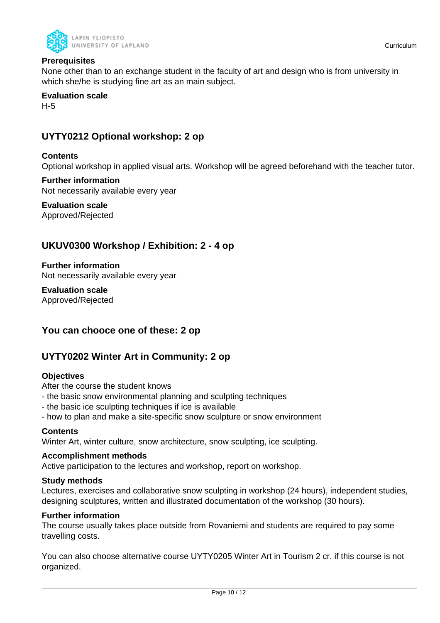

# **Prerequisites**

None other than to an exchange student in the faculty of art and design who is from university in which she/he is studying fine art as an main subject.

# **Evaluation scale**

H-5

# **UYTY0212 Optional workshop: 2 op**

# **Contents**

Optional workshop in applied visual arts. Workshop will be agreed beforehand with the teacher tutor.

#### **Further information** Not necessarily available every year

**Evaluation scale** Approved/Rejected

# **UKUV0300 Workshop / Exhibition: 2 - 4 op**

**Further information** Not necessarily available every year

**Evaluation scale** Approved/Rejected

# **You can chooce one of these: 2 op**

# **UYTY0202 Winter Art in Community: 2 op**

# **Objectives**

After the course the student knows

- the basic snow environmental planning and sculpting techniques
- the basic ice sculpting techniques if ice is available
- how to plan and make a site-specific snow sculpture or snow environment

#### **Contents**

Winter Art, winter culture, snow architecture, snow sculpting, ice sculpting.

#### **Accomplishment methods**

Active participation to the lectures and workshop, report on workshop.

#### **Study methods**

Lectures, exercises and collaborative snow sculpting in workshop (24 hours), independent studies, designing sculptures, written and illustrated documentation of the workshop (30 hours).

### **Further information**

The course usually takes place outside from Rovaniemi and students are required to pay some travelling costs.

You can also choose alternative course UYTY0205 Winter Art in Tourism 2 cr. if this course is not organized.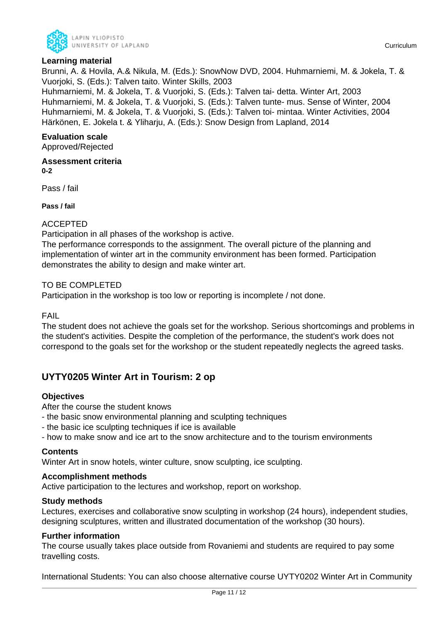

# **Learning material**

Brunni, A. & Hovila, A.& Nikula, M. (Eds.): SnowNow DVD, 2004. Huhmarniemi, M. & Jokela, T. & Vuorjoki, S. (Eds.): Talven taito. Winter Skills, 2003 Huhmarniemi, M. & Jokela, T. & Vuorjoki, S. (Eds.): Talven tai- detta. Winter Art, 2003 Huhmarniemi, M. & Jokela, T. & Vuorjoki, S. (Eds.): Talven tunte- mus. Sense of Winter, 2004 Huhmarniemi, M. & Jokela, T. & Vuorjoki, S. (Eds.): Talven toi- mintaa. Winter Activities, 2004 Härkönen, E. Jokela t. & Yliharju, A. (Eds.): Snow Design from Lapland, 2014

# **Evaluation scale**

Approved/Rejected

**Assessment criteria 0-2**

Pass / fail

**Pass / fail**

# ACCEPTED

Participation in all phases of the workshop is active.

The performance corresponds to the assignment. The overall picture of the planning and implementation of winter art in the community environment has been formed. Participation demonstrates the ability to design and make winter art.

### TO BE COMPLETED

Participation in the workshop is too low or reporting is incomplete / not done.

FAIL

The student does not achieve the goals set for the workshop. Serious shortcomings and problems in the student's activities. Despite the completion of the performance, the student's work does not correspond to the goals set for the workshop or the student repeatedly neglects the agreed tasks.

# **UYTY0205 Winter Art in Tourism: 2 op**

# **Objectives**

After the course the student knows

- the basic snow environmental planning and sculpting techniques
- the basic ice sculpting techniques if ice is available
- how to make snow and ice art to the snow architecture and to the tourism environments

#### **Contents**

Winter Art in snow hotels, winter culture, snow sculpting, ice sculpting.

#### **Accomplishment methods**

Active participation to the lectures and workshop, report on workshop.

#### **Study methods**

Lectures, exercises and collaborative snow sculpting in workshop (24 hours), independent studies, designing sculptures, written and illustrated documentation of the workshop (30 hours).

#### **Further information**

The course usually takes place outside from Rovaniemi and students are required to pay some travelling costs.

International Students: You can also choose alternative course UYTY0202 Winter Art in Community